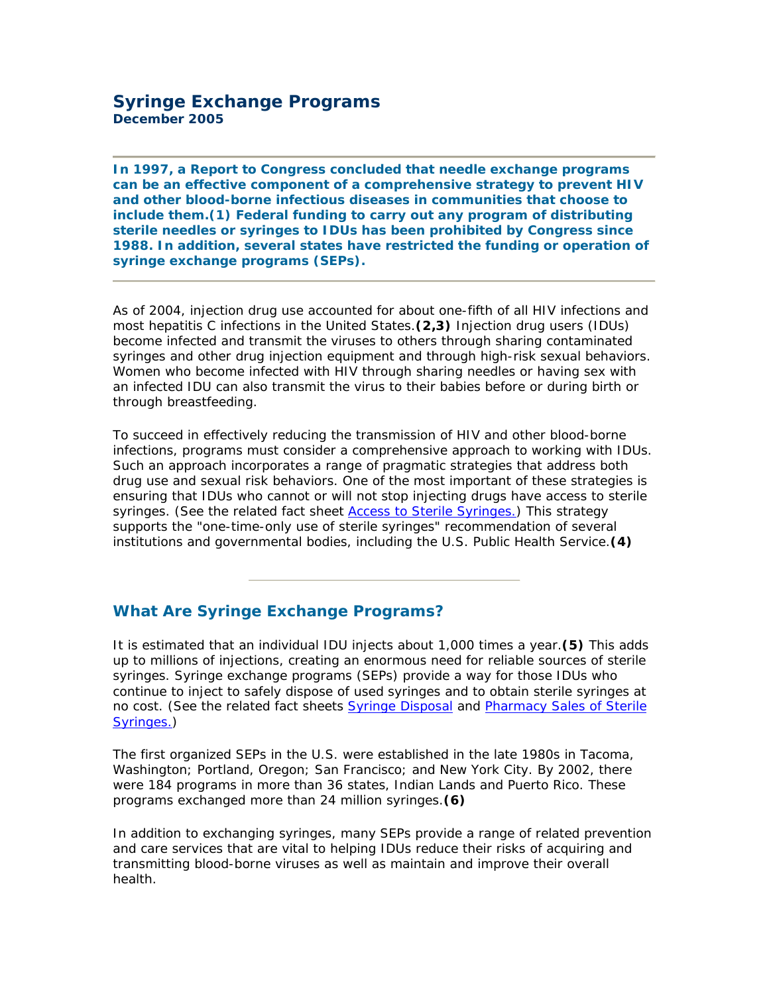**In 1997, a Report to Congress concluded that needle exchange programs can be an effective component of a comprehensive strategy to prevent HIV and other blood-borne infectious diseases in communities that choose to include them.***(1)* **Federal funding to carry out any program of distributing sterile needles or syringes to IDUs has been prohibited by Congress since 1988. In addition, several states have restricted the funding or operation of syringe exchange programs (SEPs).**

As of 2004, injection drug use accounted for about one-fifth of all HIV infections and most hepatitis C infections in the United States.*(2,3)* Injection drug users (IDUs) become infected and transmit the viruses to others through sharing contaminated syringes and other drug injection equipment and through high-risk sexual behaviors. Women who become infected with HIV through sharing needles or having sex with an infected IDU can also transmit the virus to their babies before or during birth or through breastfeeding.

To succeed in effectively reducing the transmission of HIV and other blood-borne infections, programs must consider a comprehensive approach to working with IDUs. Such an approach incorporates a range of pragmatic strategies that address both drug use and sexual risk behaviors. One of the most important of these strategies is ensuring that IDUs who cannot or will not stop injecting drugs have access to sterile syringes. (See the related fact sheet **Access to Sterile Syringes.**) This strategy supports the "one-time-only use of sterile syringes" recommendation of several institutions and governmental bodies, including the U.S. Public Health Service.*(4)*

# **What Are Syringe Exchange Programs?**

It is estimated that an individual IDU injects about 1,000 times a year.*(5)* This adds up to millions of injections, creating an enormous need for reliable sources of sterile syringes. Syringe exchange programs (SEPs) provide a way for those IDUs who continue to inject to safely dispose of used syringes and to obtain sterile syringes at no cost. (See the related fact sheets [Syringe Disposal](aed_idu_dis.htm) and [Pharmacy Sales of Sterile](aed_idu_phar.htm)  [Syringes.](aed_idu_phar.htm))

The first organized SEPs in the U.S. were established in the late 1980s in Tacoma, Washington; Portland, Oregon; San Francisco; and New York City. By 2002, there were 184 programs in more than 36 states, Indian Lands and Puerto Rico. These programs exchanged more than 24 million syringes.*(6)*

In addition to exchanging syringes, many SEPs provide a range of related prevention and care services that are vital to helping IDUs reduce their risks of acquiring and transmitting blood-borne viruses as well as maintain and improve their overall health.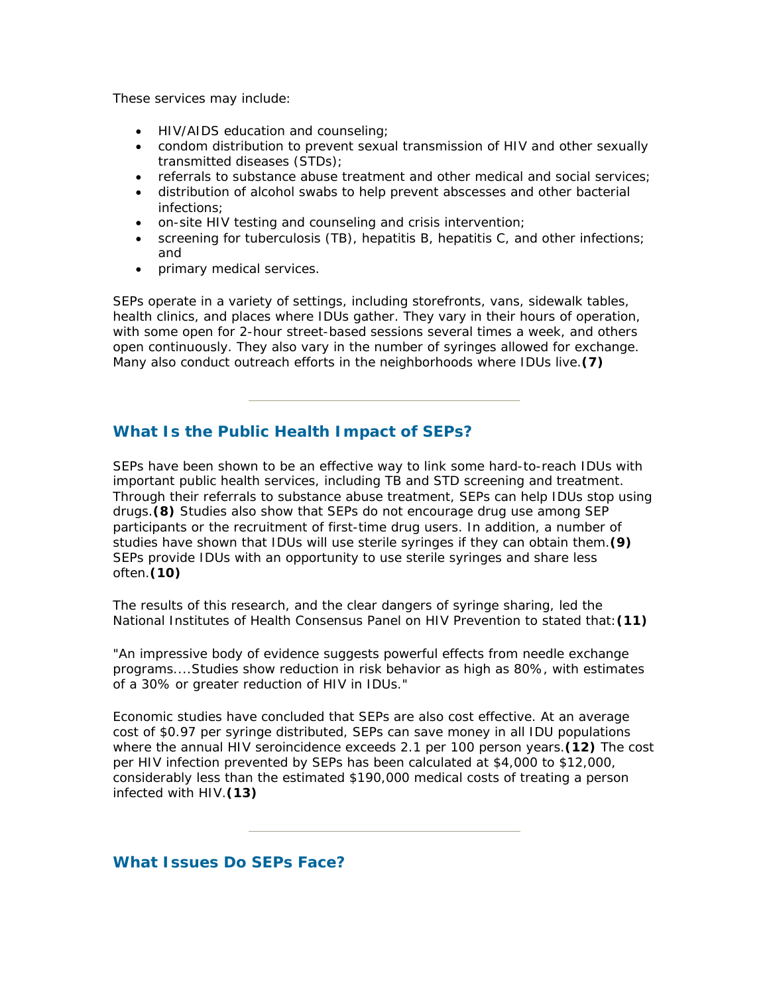These services may include:

- HIV/AIDS education and counseling;
- condom distribution to prevent sexual transmission of HIV and other sexually transmitted diseases (STDs);
- referrals to substance abuse treatment and other medical and social services;
- distribution of alcohol swabs to help prevent abscesses and other bacterial infections;
- on-site HIV testing and counseling and crisis intervention;
- screening for tuberculosis (TB), hepatitis B, hepatitis C, and other infections; and
- primary medical services.

SEPs operate in a variety of settings, including storefronts, vans, sidewalk tables, health clinics, and places where IDUs gather. They vary in their hours of operation, with some open for 2-hour street-based sessions several times a week, and others open continuously. They also vary in the number of syringes allowed for exchange. Many also conduct outreach efforts in the neighborhoods where IDUs live.*(7)*

## **What Is the Public Health Impact of SEPs?**

SEPs have been shown to be an effective way to link some hard-to-reach IDUs with important public health services, including TB and STD screening and treatment. Through their referrals to substance abuse treatment, SEPs can help IDUs stop using drugs.*(8)* Studies also show that SEPs do not encourage drug use among SEP participants or the recruitment of first-time drug users. In addition, a number of studies have shown that IDUs will use sterile syringes if they can obtain them.*(9)* SEPs provide IDUs with an opportunity to use sterile syringes and share less often.*(10)*

The results of this research, and the clear dangers of syringe sharing, led the National Institutes of Health Consensus Panel on HIV Prevention to stated that:*(11)*

"An impressive body of evidence suggests powerful effects from needle exchange programs....Studies show reduction in risk behavior as high as 80%, with estimates of a 30% or greater reduction of HIV in IDUs."

Economic studies have concluded that SEPs are also cost effective. At an average cost of \$0.97 per syringe distributed, SEPs can save money in all IDU populations where the annual HIV seroincidence exceeds 2.1 per 100 person years.*(12)* The cost per HIV infection prevented by SEPs has been calculated at \$4,000 to \$12,000, considerably less than the estimated \$190,000 medical costs of treating a person infected with HIV.*(13)*

## **What Issues Do SEPs Face?**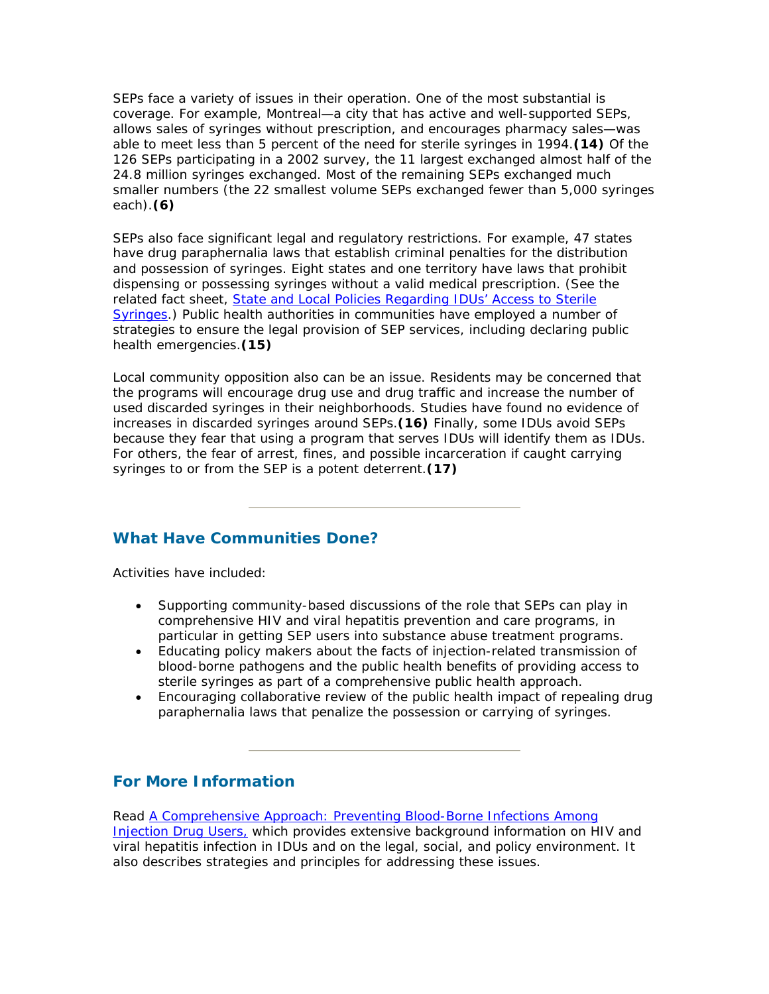SEPs face a variety of issues in their operation. One of the most substantial is coverage. For example, Montreal—a city that has active and well-supported SEPs, allows sales of syringes without prescription, and encourages pharmacy sales—was able to meet less than 5 percent of the need for sterile syringes in 1994.*(14)* Of the 126 SEPs participating in a 2002 survey, the 11 largest exchanged almost half of the 24.8 million syringes exchanged. Most of the remaining SEPs exchanged much smaller numbers (the 22 smallest volume SEPs exchanged fewer than 5,000 syringes each).*(6)*

SEPs also face significant legal and regulatory restrictions. For example, 47 states have drug paraphernalia laws that establish criminal penalties for the distribution and possession of syringes. Eight states and one territory have laws that prohibit dispensing or possessing syringes without a valid medical prescription. (See the related fact sheet, [State and Local Policies Regarding IDUs'](AED_IDU_POL.htm) Access to Sterile [Syringes](AED_IDU_POL.htm).) Public health authorities in communities have employed a number of strategies to ensure the legal provision of SEP services, including declaring public health emergencies.*(15)*

Local community opposition also can be an issue. Residents may be concerned that the programs will encourage drug use and drug traffic and increase the number of used discarded syringes in their neighborhoods. Studies have found no evidence of increases in discarded syringes around SEPs.*(16)* Finally, some IDUs avoid SEPs because they fear that using a program that serves IDUs will identify them as IDUs. For others, the fear of arrest, fines, and possible incarceration if caught carrying syringes to or from the SEP is a potent deterrent.*(17)*

## **What Have Communities Done?**

Activities have included:

- Supporting community-based discussions of the role that SEPs can play in comprehensive HIV and viral hepatitis prevention and care programs, in particular in getting SEP users into substance abuse treatment programs.
- Educating policy makers about the facts of injection-related transmission of blood-borne pathogens and the public health benefits of providing access to sterile syringes as part of a comprehensive public health approach.
- Encouraging collaborative review of the public health impact of repealing drug paraphernalia laws that penalize the possession or carrying of syringes.

# **For More Information**

Read *[A Comprehensive Approach: Preventing Blood-Borne Infections Among](/idu/pubs/ca/toc.htm)  [Injection Drug Users,](/idu/pubs/ca/toc.htm)* which provides extensive background information on HIV and viral hepatitis infection in IDUs and on the legal, social, and policy environment. It also describes strategies and principles for addressing these issues.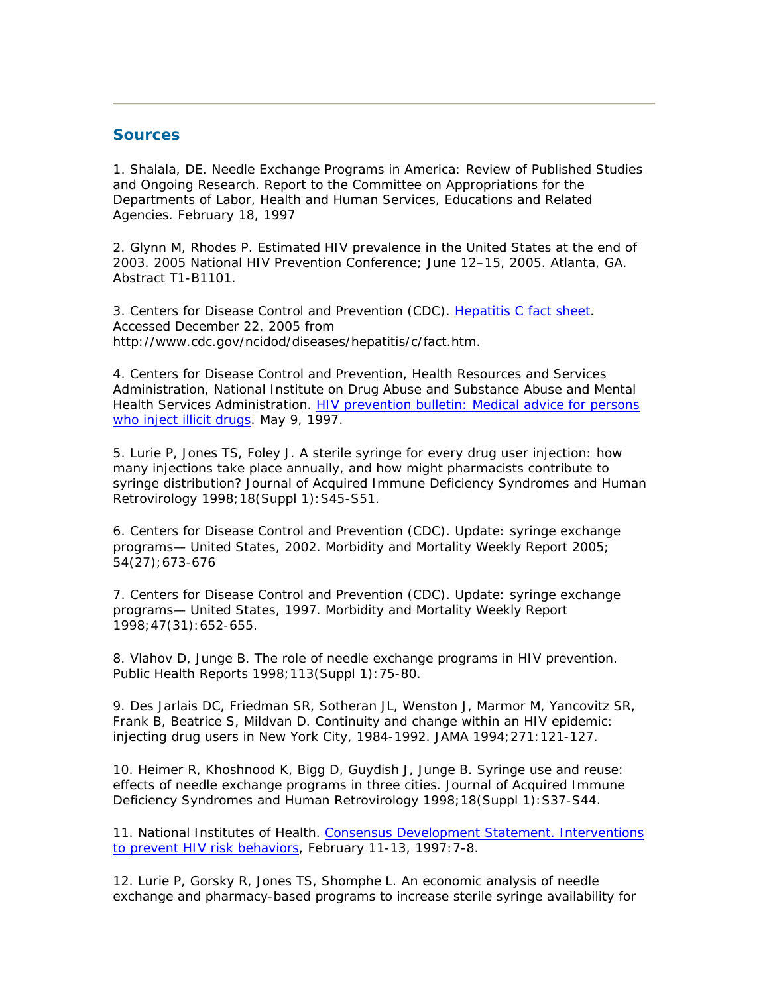### **Sources**

1. Shalala, DE. *Needle Exchange Programs in America: Review of Published Studies and Ongoing Research.* Report to the Committee on Appropriations for the Departments of Labor, Health and Human Services, Educations and Related Agencies. February 18, 1997

2. Glynn M, Rhodes P. Estimated HIV prevalence in the United States at the end of 2003. 2005 National HIV Prevention Conference; June 12–15, 2005. Atlanta, GA. Abstract T1-B1101.

3. Centers for Disease Control and Prevention (CDC). [Hepatitis C fact](http://www.cdc.gov/ncidod/diseases/hepatitis/c/fact.htm) sheet. Accessed December 22, 2005 from http://www.cdc.gov/ncidod/diseases/hepatitis/c/fact.htm.

4. Centers for Disease Control and Prevention, Health Resources and Services Administration, National Institute on Drug Abuse and Substance Abuse and Mental Health Services Administration. [HIV prevention bulletin: Medical advice for persons](/idu/pubs/hiv_prev.htm)  [who inject illicit drugs.](/idu/pubs/hiv_prev.htm) May 9, 1997.

5. Lurie P, Jones TS, Foley J. A sterile syringe for every drug user injection: how many injections take place annually, and how might pharmacists contribute to syringe distribution? *Journal of Acquired Immune Deficiency Syndromes and Human Retrovirology* 1998;18(Suppl 1):S45-S51.

6. Centers for Disease Control and Prevention (CDC). Update: syringe exchange programs— United States, 2002. *Morbidity and Mortality Weekly Report* 2005; 54(27);673-676

7. Centers for Disease Control and Prevention (CDC). Update: syringe exchange programs— United States, 1997. *Morbidity and Mortality Weekly Report* 1998;47(31):652-655.

8. Vlahov D, Junge B. The role of needle exchange programs in HIV prevention. *Public Health Reports* 1998;113(Suppl 1):75-80.

9. Des Jarlais DC, Friedman SR, Sotheran JL, Wenston J, Marmor M, Yancovitz SR, Frank B, Beatrice S, Mildvan D. Continuity and change within an HIV epidemic: injecting drug users in New York City, 1984-1992. *JAMA* 1994;271:121-127.

10. Heimer R, Khoshnood K, Bigg D, Guydish J, Junge B. Syringe use and reuse: effects of needle exchange programs in three cities. *Journal of Acquired Immune Deficiency Syndromes and Human Retrovirology* 1998;18(Suppl 1):S37-S44.

11. National Institutes of Health. [Consensus Development Statement. Interventions](http://consensus.nih.gov/1997/1997PreventHIVRisk104html.htm)  [to prevent HIV risk behaviors](http://consensus.nih.gov/1997/1997PreventHIVRisk104html.htm), February 11-13, 1997: 7-8.

12. Lurie P, Gorsky R, Jones TS, Shomphe L. An economic analysis of needle exchange and pharmacy-based programs to increase sterile syringe availability for